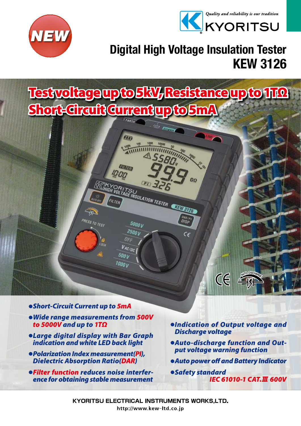



# KEW 3126 Digital High Voltage Insulation Tester

Test voltage up to 5kV, Resistance up to 1TΩ Short-Circuit Current up to 5mA

CATE FINARIA

DAR I

 $\epsilon$ 

**THE** 

**ELETRY** 

**REAL PRITSULATION TESTER CREATED BY A REAL PRITS REAL PROPERTY STATES OF PRIMERIES** 

5000 V **2500V** 

VAC/DC  $500V$ **1000 V** 



● *Wide range measurements from 500V to 5000V and up to 1TΩ*

PRESS TO TEST

- ● *Large digital display with Bar Graph indication and white LED back light*
- ● *Polarization Index measurement(PI), Dielectric Absorption Ratio(DAR)*
- $\bullet$ **Filter function reduces noise interfer***ence for obtaining stable measurement*
- *<u>Olndication of Output voltage and</u> Discharge voltage*

 $CE$ 

- **Auto-discharge function and Out***put voltage warning function*
- ● *Auto power off and Battery Indicator*
- ● *Safety standard IEC 61010-1 CAT.*Ⅲ *600V*

**KYORITSU ELECTRICAL INSTRUMENTS WORKS,LTD.** http://www.kew-ltd.co.jp